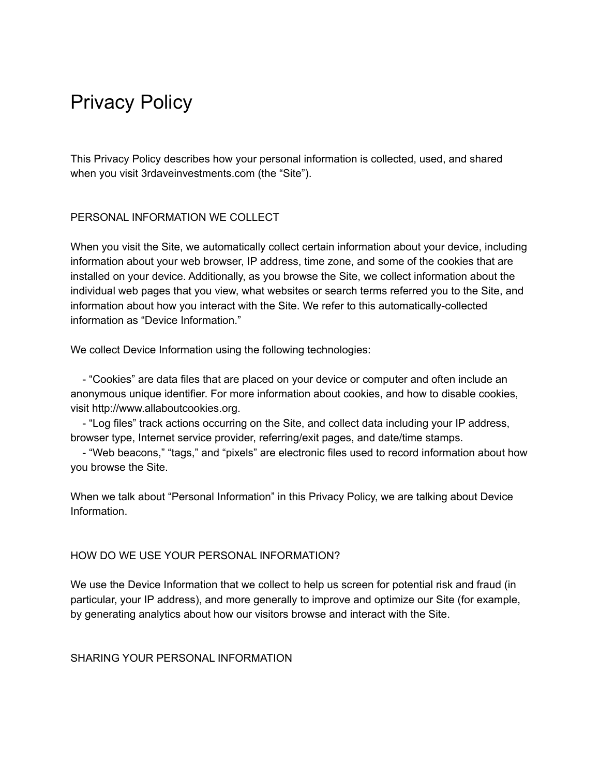# Privacy Policy

This Privacy Policy describes how your personal information is collected, used, and shared when you visit 3rdaveinvestments.com (the "Site").

# PERSONAL INFORMATION WE COLLECT

When you visit the Site, we automatically collect certain information about your device, including information about your web browser, IP address, time zone, and some of the cookies that are installed on your device. Additionally, as you browse the Site, we collect information about the individual web pages that you view, what websites or search terms referred you to the Site, and information about how you interact with the Site. We refer to this automatically-collected information as "Device Information."

We collect Device Information using the following technologies:

- "Cookies" are data files that are placed on your device or computer and often include an anonymous unique identifier. For more information about cookies, and how to disable cookies, visit http://www.allaboutcookies.org.

- "Log files" track actions occurring on the Site, and collect data including your IP address, browser type, Internet service provider, referring/exit pages, and date/time stamps.

- "Web beacons," "tags," and "pixels" are electronic files used to record information about how you browse the Site.

When we talk about "Personal Information" in this Privacy Policy, we are talking about Device Information.

# HOW DO WE USE YOUR PERSONAL INFORMATION?

We use the Device Information that we collect to help us screen for potential risk and fraud (in particular, your IP address), and more generally to improve and optimize our Site (for example, by generating analytics about how our visitors browse and interact with the Site.

SHARING YOUR PERSONAL INFORMATION